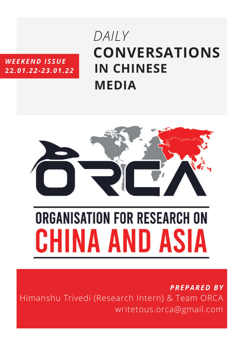## *WEEKEND ISSUE* **22***.01.22-23.01.22*

# **CONVERSATIONS IN CHINESE MEDIA** *DAILY*



# **ORGANISATION FOR RESEARCH ON** CHINA AND ASIA

*PREPARED BY* Himanshu Trivedi (Research Intern) & Team ORCA writetous.orca@gmail.com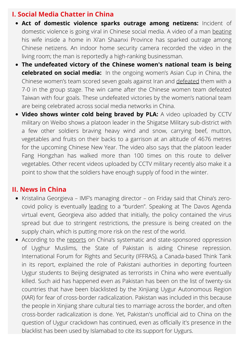### **I. Social Media Chatter in China**

- **Act of domestic violence sparks outrage among netizens:** Incident of domestic violence is going viral in Chinese social media. A video of a man [beating](https://www.whatsonweibo.com/shaanxi-domestic-violence-incident-caught-on-home-security-camera-sparks-online-outrage/) his wife inside a home in Xi'an Shaanxi Province has sparked outrage among Chinese netizens. An indoor home security camera recorded the video in the living room; the man is reportedly a high-ranking businessman.
- **The undefeated victory of the Chinese women's national team is being celebrated on social media:** In the ongoing women's Asian Cup in China, the Chinese women's team scored seven goals against Iran and [defeated](https://www.thepaper.cn/newsDetail_forward_16415235) them with a 7-0 in the group stage. The win came after the Chinese women team defeated Taiwan with four goals. These undefeated victories by the women's national team are being celebrated across social media networks in China.
- **Video shows winter cold being braved by PLA:** A video uploaded by CCTV military on Weibo shows a platoon leader in the Shigatse Military sub-district with a few other soldiers braving heavy wind and snow, carrying beef, mutton, vegetables and fruits on their backs to a garrison at an altitude of 4676 metres for the upcoming Chinese New Year. The video also says that the platoon leader Fang Hongzhan has walked more than 100 times on this route to deliver vegetables. Other recent videos uploaded by CCTV military recently also make it a point to show that the soldiers have enough supply of food in the winter.

#### **II. News in China**

- Kristalina Georgieva IMF's managing director on Friday said that China's zerocovid policy is eventually [leading](https://www.cnbc.com/2022/01/21/imf-chinas-zero-covid-policy-a-burden-to-domestic-and-global-economy.html) to a "burden". Speaking at The Davos Agenda virtual event, Georgieva also added that initially, the policy contained the virus spread but due to stringent restrictions, the pressure is being created on the supply chain, which is putting more risk on the rest of the world[.](https://www.cnbc.com/2022/01/21/imf-chinas-zero-covid-policy-a-burden-to-domestic-and-global-economy.html)
- According to the [reports](https://m.timesofindia.com/world/pakistan/pakistan-aiding-chinese-repression-of-uyghurs-in-xinjiang-report/amp_articleshow/89054392.cms) on China's systematic and state-sponsored oppression of Uyghur Muslims, the State of Pakistan is aiding Chinese repression. International Forum for Rights and Security (IFFRAS), a Canada-based Think Tank in its report, explained the role of Pakistani authorities in deporting fourteen Uygur students to Beijing designated as terrorists in China who were eventually killed. Such aid has happened even as Pakistan has been on the list of twenty-six countries that have been blacklisted by the Xinjiang Uygur Autonomous Region (XAR) for fear of cross-border radicalization. Pakistan was included in this because the people in Xinjiang share cultural ties to marriage across the border, and often cross-border radicalization is done. Yet, Pakistan's unofficial aid to China on the question of Uygur crackdown has continued, even as officially it's presence in the blacklist has been used by Islamabad to cite its support for Uygurs.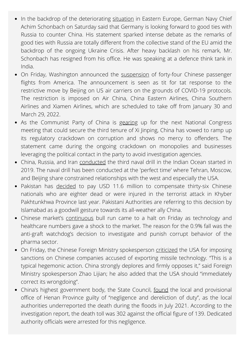- In the backdrop of the deteriorating [situation](https://zeenews.india.com/india/in-delhi-germany-bats-for-good-ties-with-russia-to-combat-china-amid-ukraine-crisis-2429938.html) in Eastern Europe, German Navy Chief Achim Schonbach on Saturday said that Germany is looking forward to good ties with Russia to counter China. His statement sparked intense debate as the remarks of good ties with Russia are totally different from the collective stand of the EU amid the backdrop of the ongoing Ukraine Crisis. After heavy backlash on his remark, Mr. Schonbach has resigned from his office. He was speaking at a defence think tank in India.
- On Friday, Washington [announced](https://www.ndtv.com/world-news/us-suspends-44-passenger-flights-to-china-in-tit-for-tat-with-beijing-2723145) the [suspension](https://www.ndtv.com/world-news/us-suspends-44-passenger-flights-to-china-in-tit-for-tat-with-beijing-2723145) of forty-four Chinese passenger flights from America. The announcement is seen as tit for tat response to the restrictive move by Beijing on US air carriers on the grounds of COVID-19 protocols. The restriction is imposed on Air China, China Eastern Airlines, China Southern Airlines and Xiamen Airlines, which are scheduled to take off from January 30 and March 29, 2022.
- As the Communist Party of China is [gearing](https://m.timesofindia.com/world/china/china-warns-of-no-mercy-in-corruption-and-monopoly-crackdown/amp_articleshow/89034486.cms) up for the next National Congress meeting that could secure the third tenure of Xi Jinping, China has vowed to ramp up its regulatory crackdown on corruption and shows no mercy to offenders. The statement came during the ongoing crackdown on monopolies and businesses leveraging the political contact in the party to avoid investigation agencies.
- China, Russia, and Iran [conducted](https://m.timesofindia.com/world/middle-east/iran-russia-and-china-begin-joint-naval-drill/amp_articleshow/89037220.cms) the third naval drill in the Indian Ocean started in 2019. The naval drill has been conducted at the 'perfect time' where Tehran, Moscow, and Beijing share constrained relationships with the west and especially the USA.
- Pakistan has [decided](https://m.economictimes.com/news/international/world-news/pakistan-to-pay-11-6-mn-compensation-to-36-chinese-victims-of-hydropower-project-terror-attack/articleshow/89055553.cms) to pay USD 11.6 million to compensate thirty-six Chinese nationals who are eighter dead or were injured in the terrorist attack in Khyber Pakhtunkhwa Province last year. Pakistani Authorities are referring to this decision by Islamabad as a goodwill gesture towards its all-weather ally China[.](https://m.economictimes.com/news/international/world-news/pakistan-to-pay-11-6-mn-compensation-to-36-chinese-victims-of-hydropower-project-terror-attack/articleshow/89055553.cms)
- Chinese market's [continuous](https://www.business-standard.com/article/news-cm/china-market-falls-0-9-technology-and-healthcare-leads-decline-122012101612_1.html) bull run came to a halt on Friday as technology and healthcare numbers gave a shock to the market. The reason for the 0.9% fall was the anti-graft watchdog's decision to investigate and punish corrupt behavior of the pharma sector[.](https://www.business-standard.com/article/news-cm/china-market-falls-0-9-technology-and-healthcare-leads-decline-122012101612_1.html)
- On Friday, the Chinese Foreign Ministry spokesperson [criticized](https://abcnews.go.com/US/wireStory/china-criticizes-us-missile-sanctions-hypocrisy-82393702) the USA for imposing sanctions on Chinese companies accused of exporting missile technology. "This is a typical hegemonic action. [China](https://abcnews.go.com/alerts/Taiwan) strongly deplores and firmly opposes it," said Foreign Ministry spokesperson Zhao Lijian; he also added that the USA should "immediately correct its wrongdoing".
- China's highest government body, the State Council, [found](https://www.sixthtone.com/news/1009524/officials-deliberately-hid-deaths-during-henan-floods%2C-report-finds) the local and provisional office of Henan Province guilty of "negligence and dereliction of duty", as the local authorities underreported the death during the floods in July 2021. According to the investigation report, the death toll was 302 against the official figure of 139. Dedicated authority officials were arrested for this negligence.